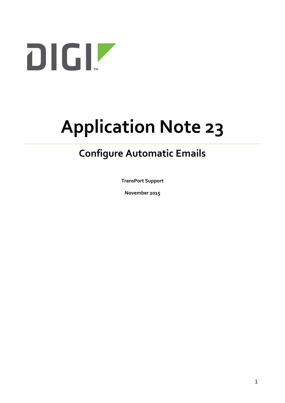

# **Application Note 23**

## **Configure Automatic Emails**

**TransPort Support**

**November 2015**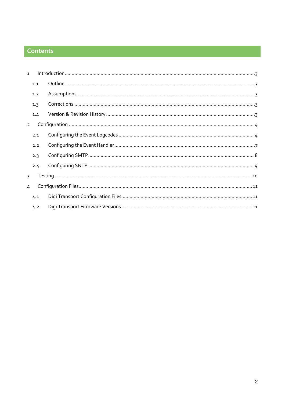## Contents

| $\mathbf{1}$   |     |  |  |
|----------------|-----|--|--|
|                | 1.1 |  |  |
| 1.2            |     |  |  |
|                | 1.3 |  |  |
|                | 1.4 |  |  |
| $\overline{2}$ |     |  |  |
|                | 2.1 |  |  |
|                | 2.2 |  |  |
|                | 2.3 |  |  |
|                | 2.4 |  |  |
| $\mathbf{R}$   |     |  |  |
| 4              |     |  |  |
|                | 4.1 |  |  |
|                | 4.2 |  |  |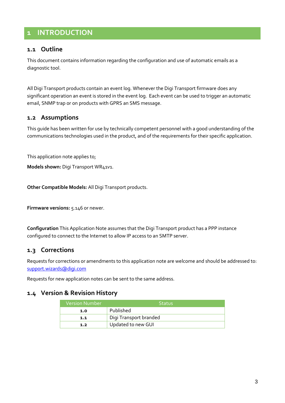## <span id="page-2-0"></span>**1 INTRODUCTION**

#### <span id="page-2-1"></span>**1.1 Outline**

This document contains information regarding the configuration and use of automatic emails as a diagnostic tool.

All Digi Transport products contain an event log. Whenever the Digi Transport firmware does any significant operation an event is stored in the event log. Each event can be used to trigger an automatic email, SNMP trap or on products with GPRS an SMS message.

#### <span id="page-2-2"></span>**1.2 Assumptions**

This guide has been written for use by technically competent personnel with a good understanding of the communications technologies used in the product, and of the requirements for their specific application.

This application note applies to;

**Models shown:** Digi Transport WR41v1.

**Other Compatible Models:** All Digi Transport products.

**Firmware versions:** 5.146 or newer.

**Configuration** This Application Note assumes that the Digi Transport product has a PPP instance configured to connect to the Internet to allow IP access to an SMTP server.

#### <span id="page-2-3"></span>**1.3 Corrections**

Requests for corrections or amendments to this application note are welcome and should be addressed to: [support.wizards@digi.com](mailto:support.wizards@digi.com)

Requests for new application notes can be sent to the same address.

#### <span id="page-2-4"></span>**1.4 Version & Revision History**

| <b>Version Number</b> | <b>Status</b>          |  |
|-----------------------|------------------------|--|
| 1.0                   | Published              |  |
| 1.1                   | Digi Transport branded |  |
| 1.2                   | Updated to new GUI     |  |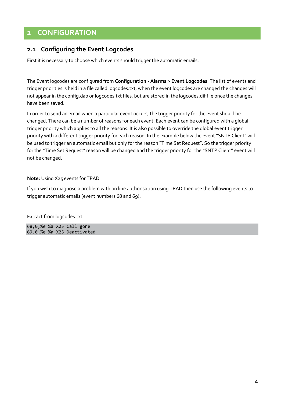## <span id="page-3-0"></span>**2 CONFIGURATION**

#### <span id="page-3-1"></span>**2.1 Configuring the Event Logcodes**

First it is necessary to choose which events should trigger the automatic emails.

The Event logcodes are configured from **Configuration - Alarms > Event Logcodes**. The list of events and trigger priorities is held in a file called logcodes.txt, when the event logcodes are changed the changes will not appear in the config.da0 or logcodes.txt files, but are stored in the logcodes.dif file once the changes have been saved.

In order to send an email when a particular event occurs, the trigger priority for the event should be changed. There can be a number of reasons for each event. Each event can be configured with a global trigger priority which applies to all the reasons. It is also possible to override the global event trigger priority with a different trigger priority for each reason. In the example below the event "SNTP Client" will be used to trigger an automatic email but only for the reason "Time Set Request". So the trigger priority for the "Time Set Request" reason will be changed and the trigger priority for the "SNTP Client" event will not be changed.

**Note:** Using X25 events for TPAD

If you wish to diagnose a problem with on line authorisation using TPAD then use the following events to trigger automatic emails (event numbers 68 and 69).

Extract from logcodes.txt:

68,0,%e %a X25 Call gone 69,0,%e %a X25 Deactivated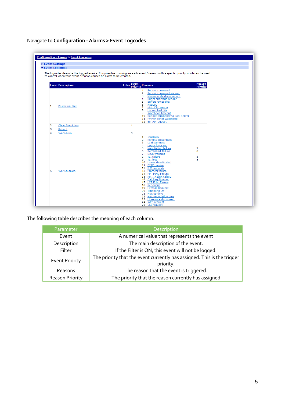Navigate to **Configuration - Alarms > Event Logcodes**

| <b>Configuration - Alarms &gt; Event Logcodes</b> |                                                                                                                                                                                                                                                                                                                                                                                                                                                                                                                                                                                                                           |                                  |
|---------------------------------------------------|---------------------------------------------------------------------------------------------------------------------------------------------------------------------------------------------------------------------------------------------------------------------------------------------------------------------------------------------------------------------------------------------------------------------------------------------------------------------------------------------------------------------------------------------------------------------------------------------------------------------------|----------------------------------|
|                                                   |                                                                                                                                                                                                                                                                                                                                                                                                                                                                                                                                                                                                                           |                                  |
| ▶ Event Settings                                  |                                                                                                                                                                                                                                                                                                                                                                                                                                                                                                                                                                                                                           |                                  |
| ▼ Event Logcodes                                  |                                                                                                                                                                                                                                                                                                                                                                                                                                                                                                                                                                                                                           |                                  |
|                                                   | The logcodes describe the logged events. It is possible to configure each event / reason with a specific priority which can be used<br>to control when that event / reason causes an alarm to be created.                                                                                                                                                                                                                                                                                                                                                                                                                 |                                  |
| <b>Event Description</b>                          | <b>Filter Event</b><br><b>Reasons</b>                                                                                                                                                                                                                                                                                                                                                                                                                                                                                                                                                                                     | <b>Reason</b><br><b>Priority</b> |
| Power-up[%c]                                      | Reboot command<br>1<br>$\overline{2}$<br>Reboot command via web<br>Message shortage reboot<br>з<br>Buffer shortage reboot<br>4<br><b>Buffers excessive</b><br>5.<br>MsaLoa<br>6<br>$\overline{7}$<br>High CPU usage<br>8 Locked task %c<br>Watchdog timeout<br>9.<br>10 Reboot command via iDigi Server<br>11 Python script watchdog<br>12 ESPAD request                                                                                                                                                                                                                                                                  |                                  |
| Clear Event Log                                   | 1                                                                                                                                                                                                                                                                                                                                                                                                                                                                                                                                                                                                                         |                                  |
| Reboot                                            |                                                                                                                                                                                                                                                                                                                                                                                                                                                                                                                                                                                                                           |                                  |
| $%e$ %a up                                        | 3                                                                                                                                                                                                                                                                                                                                                                                                                                                                                                                                                                                                                         |                                  |
| %e %a down                                        | Inactivity<br>$\mathbf{1}$<br>Remote disconnect<br>$\mathbf{2}$<br>LL disconnect<br>3<br>Upper layer reg<br>4<br>5 Negotiation failure<br>Retransmit failure<br>6<br><b>DISC</b> transmit<br>$\overline{7}$<br><b>TEI</b> failure<br>8<br>9<br><b>TEI</b> lost<br>10 Lower deactivated<br>11 DISC receive<br>12 B Channel clr<br>13 Protocol failure<br>14 PPP PING Failure<br>15 PPP TX Link Failure<br>16 Call Reg Timeout<br>17 LCP Echo Failure<br>18 Rebooting<br>19 Firewall Request<br>20 Timeband Off<br>21 Max up time<br>22 Max negotiation time<br>23 LL remote disconnect<br>24 WEB request<br>25 CLI request | $\overline{2}$<br>6<br>5<br>5    |

The following table describes the meaning of each column.

| Parameter              | Description                                                             |  |  |  |
|------------------------|-------------------------------------------------------------------------|--|--|--|
| Event                  | A numerical value that represents the event                             |  |  |  |
| Description            | The main description of the event.                                      |  |  |  |
| Filter                 | If the Filter is ON, this event will not be logged.                     |  |  |  |
| <b>Event Priority</b>  | The priority that the event currently has assigned. This is the trigger |  |  |  |
|                        | priority.                                                               |  |  |  |
| Reasons                | The reason that the event is triggered.                                 |  |  |  |
| <b>Reason Priority</b> | The priority that the reason currently has assigned                     |  |  |  |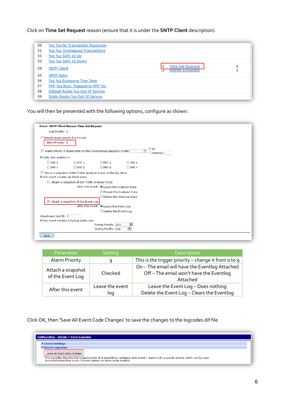Click on **Time Set Request** reason (ensure that it is under the **SNTP Client** description).

| 50 | %e %a No Transaction Response   |                                             |   |
|----|---------------------------------|---------------------------------------------|---|
| 51 | %e %a Overlapped Transactions   |                                             |   |
| 52 | %e %a SAPI 16 Up                |                                             |   |
| 53 | %e %a SAPI 16 Down              |                                             |   |
| 54 | <b>SNTP Client</b>              | Time Set Request<br><b>Retries Exceeded</b> | 0 |
| 55 | <b>SMTP Retry</b>               |                                             |   |
| 56 | %e %a Excessive Tran Time       |                                             |   |
| 57 | PPP %a Busy. Mapped to PPP %s   |                                             |   |
| 58 | Default Route %a Out Of Service |                                             |   |
| 59 | Static Route %a Out Of Service  |                                             |   |

You will then be presented with the following options, configure as shown:

| <b>Event: SNTP Client Reason: Time Set Request</b>                                                         |  |  |  |  |  |
|------------------------------------------------------------------------------------------------------------|--|--|--|--|--|
| Log Priority: 0                                                                                            |  |  |  |  |  |
| $\Box$ Inherit alarm priority from event                                                                   |  |  |  |  |  |
| Alarm Priority: 9                                                                                          |  |  |  |  |  |
| © All                                                                                                      |  |  |  |  |  |
| Alarm Priority is dependent on the event being logged by Entity<br>$\overline{\phantom{0}}$<br>instance lo |  |  |  |  |  |
| Priority only applies to                                                                                   |  |  |  |  |  |
| $\Box$ PPP 1<br>$\Box$ PPP 3<br>$\Box$ PPP 0<br>PPP <sub>2</sub>                                           |  |  |  |  |  |
| $\Box$ PPP 5<br>$\Box$ PPP 4<br>$\Box$ PPP 6<br>PPP <sub>7</sub>                                           |  |  |  |  |  |
| Store a snapshot of the Traffic Analyser trace on the log drive                                            |  |  |  |  |  |
| If this event creates an Email alarm                                                                       |  |  |  |  |  |
| Attach a snapshot of the Traffic Analyser trace                                                            |  |  |  |  |  |
| After this event: O Leave the Analyser trace                                                               |  |  |  |  |  |
| Freeze the Analyser trace                                                                                  |  |  |  |  |  |
| Delete the Analyser trace                                                                                  |  |  |  |  |  |
| Attach a snapshot of the Event Log                                                                         |  |  |  |  |  |
| After this event: O Leave the Event Log                                                                    |  |  |  |  |  |
| © Delete the Event Log                                                                                     |  |  |  |  |  |
| Attachment List ID: 0                                                                                      |  |  |  |  |  |
| If this event creates a Syslog alarm, use                                                                  |  |  |  |  |  |
| $\overline{\phantom{a}}$<br>Syslog Priority: Info<br>$\overline{\phantom{a}}$<br>Syslog Facility: User     |  |  |  |  |  |
|                                                                                                            |  |  |  |  |  |
| Apply                                                                                                      |  |  |  |  |  |
|                                                                                                            |  |  |  |  |  |

| Parameter                             | Setting                | Description                                                                                         |
|---------------------------------------|------------------------|-----------------------------------------------------------------------------------------------------|
| Alarm Priority                        | 9                      | This is the trigger priority – change it from o to 9                                                |
| Attach a snapshot<br>of the Event Log | Checked                | On - The email will have the Eventlog Attached<br>Off-The email won't have the Eventlog<br>Attached |
| After this event                      | Leave the event<br>log | Leave the Event Log - Does nothing<br>Delete the Event Log - Clears the Eventlog                    |

Click OK, then 'Save All Event Code Changes' to save the changes to the logcodes.dif file

| <b>Configuration - Alarms &gt; Event Logcodes</b>                                                                                                                                                                                        |  |  |  |  |
|------------------------------------------------------------------------------------------------------------------------------------------------------------------------------------------------------------------------------------------|--|--|--|--|
| ▶ Event Settings                                                                                                                                                                                                                         |  |  |  |  |
| ▼ Event Logcodes                                                                                                                                                                                                                         |  |  |  |  |
| Save All Event Code Changes<br>The logcodes describe the logged events. It is possible to configure each event / reason with a specific priority which can be used<br>to control when that event / reason causes an alarm to be created. |  |  |  |  |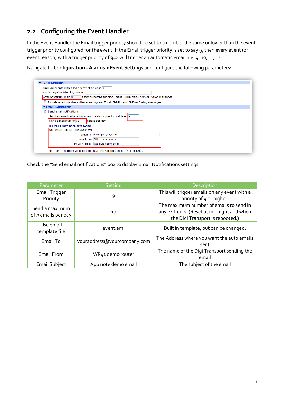## <span id="page-6-0"></span>**2.2 Configuring the Event Handler**

In the Event Handler the Email trigger priority should be set to a number the same or lower than the event trigger priority configured for the event. If the Email trigger priority is set to say 9, then every event (or event reason) with a trigger priority of 9=> will trigger an automatic email. i.e. 9, 10, 11, 12....

Navigate to **Configuration - Alarms > Event Settings** and configure the following parameters:

|                                          | Only log events with a log priority of at least 0                                   |  |
|------------------------------------------|-------------------------------------------------------------------------------------|--|
|                                          |                                                                                     |  |
| Do not log the following events:         |                                                                                     |  |
| After power up, wait 90                  | seconds before sending Emails, SNMP traps, SMS or Syslog messages                   |  |
|                                          | Include event number in the event log and Email, SNMP traps, SMS or Syslog messages |  |
| ▼ Email Notifications                    |                                                                                     |  |
| $\triangledown$ Send email notifications |                                                                                     |  |
|                                          | Send an email notification when the alarm priority is at least 9                    |  |
|                                          |                                                                                     |  |
| Send a maximum of 10                     | emails per day                                                                      |  |
|                                          | 0 emails have been sent today                                                       |  |
|                                          | Use email template file event.eml                                                   |  |
|                                          | Email To: uksupport@digi.com                                                        |  |
|                                          | Email From: WR41 demo router                                                        |  |
|                                          | Email Subject: App note demo email                                                  |  |
|                                          |                                                                                     |  |

Check the "Send email notifications" box to display Email Notifications settings

| Parameter                                          | Setting                     | Description                                                                                                              |
|----------------------------------------------------|-----------------------------|--------------------------------------------------------------------------------------------------------------------------|
| <b>Email Trigger</b><br>Priority                   | 9                           | This will trigger emails on any event with a<br>priority of 9 or higher.                                                 |
| Send a maximum<br>10<br>of <i>n</i> emails per day |                             | The maximum number of emails to send in<br>any 24 hours. (Reset at midnight and when<br>the Digi Transport is rebooted.) |
| Use email<br>template file                         | event.eml                   | Built in template, but can be changed.                                                                                   |
| Email To                                           | youraddress@yourcompany.com | The Address where you want the auto emails<br>sent                                                                       |
| <b>Email From</b>                                  | WR41 demo router            | The name of the Digi Transport sending the<br>email                                                                      |
| <b>Email Subject</b>                               | App note demo email         | The subject of the email                                                                                                 |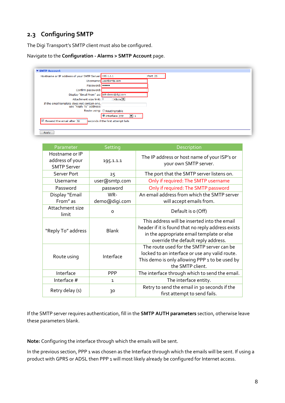### <span id="page-7-0"></span>**2.3 Configuring SMTP**

The Digi Transport's SMTP client must also be configured.

Navigate to the **Configuration - Alarms > SMTP Account** page.

| ▼ SMTP Account<br>Hostname or IP address of your SMTP Server: 195.1.1.1 |                                    | Port <sub>25</sub> |
|-------------------------------------------------------------------------|------------------------------------|--------------------|
|                                                                         | Username: user@smtp.com            |                    |
| Password:                                                               |                                    |                    |
| Confirm password:                                                       |                                    |                    |
| Display "Email From" as: WR-demo@digi.com                               |                                    |                    |
| Attachment size limit: 0                                                | $KB$ yte $ \nabla $                |                    |
| If the email template does not contain one,<br>use "Reply To" address:  |                                    |                    |
|                                                                         | Route using: Routing table         |                    |
|                                                                         | O Interface PPP<br>$\mathbf{r}$ 1  |                    |
| $\overline{\checkmark}$<br>Resend the email after 30                    | seconds if the first attempt fails |                    |
|                                                                         |                                    |                    |
| Apply                                                                   |                                    |                    |

| Parameter                                               | Setting       | Description                                                                                                                                                                            |
|---------------------------------------------------------|---------------|----------------------------------------------------------------------------------------------------------------------------------------------------------------------------------------|
| Hostname or IP<br>address of your<br><b>SMTP Server</b> | 195.1.1.1     | The IP address or host name of your ISP's or<br>your own SMTP server.                                                                                                                  |
| Server Port                                             | 25            | The port that the SMTP server listens on.                                                                                                                                              |
| Username                                                | user@smtp.com | Only if required: The SMTP username                                                                                                                                                    |
| Password                                                | password      | Only if required: The SMTP password                                                                                                                                                    |
| Display "Email                                          | WR-           | An email address from which the SMTP server                                                                                                                                            |
| From" as                                                | demo@digi.com | will accept emails from.                                                                                                                                                               |
| Attachment size<br>limit                                | 0             | Default is o (Off)                                                                                                                                                                     |
| "Reply To" address                                      | <b>Blank</b>  | This address will be inserted into the email<br>header if it is found that no reply address exists<br>in the appropriate email template or else<br>override the default reply address. |
| Route using                                             | Interface     | The route used for the SMTP server can be<br>locked to an interface or use any valid route.<br>This demo is only allowing PPP 1 to be used by<br>the SMTP client.                      |
| Interface                                               | <b>PPP</b>    | The interface through which to send the email.                                                                                                                                         |
| Interface #                                             | $\mathbf{1}$  | The interface entity.                                                                                                                                                                  |
| Retry delay (s)                                         | 30            | Retry to send the email in 30 seconds if the<br>first attempt to send fails.                                                                                                           |

If the SMTP server requires authentication, fill in the **SMTP AUTH parameters** section, otherwise leave these parameters blank.

**Note:** Configuring the interface through which the emails will be sent.

In the previous section, PPP 1 was chosen as the Interface through which the emails will be sent. If using a product with GPRS or ADSL then PPP 1 will most likely already be configured for Internet access.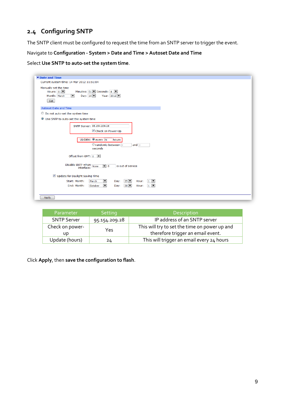## <span id="page-8-0"></span>**2.4 Configuring SNTP**

The SNTP client must be configured to request the time from an SNTP server to trigger the event.

Navigate to **Configuration - System > Date and Time > Autoset Date and Time**

Select **Use SNTP to auto-set the system time**.

| Date and Time                                                                                                                                                                           |  |  |  |
|-----------------------------------------------------------------------------------------------------------------------------------------------------------------------------------------|--|--|--|
| Current system time: 14 Mar 2012 11:51:04                                                                                                                                               |  |  |  |
| Manually set the time<br>Hours: $11$ $\overline{ }$<br>Minutes: $51$ $\triangleright$ Seconds: $4$ $\triangleright$<br>Day: $14$<br>Year: 2012<br>Month: March<br>$\blacksquare$<br>Set |  |  |  |
| Autoset Date and Time                                                                                                                                                                   |  |  |  |
| to Do not auto-set the system time                                                                                                                                                      |  |  |  |
| Use SNTP to auto-set the system time                                                                                                                                                    |  |  |  |
| SNTP Server: 95.154.209.28<br>Check on Power-Up                                                                                                                                         |  |  |  |
| Update: @ every 24<br>hours<br><b>Orandomly between</b> 0<br>and $\boxed{0}$<br>seconds                                                                                                 |  |  |  |
| Offset from GMT: 0                                                                                                                                                                      |  |  |  |
| Disable SNTP when Mone<br>is out of service<br>$\overline{\phantom{0}}$ 0                                                                                                               |  |  |  |
| Update for Daylight Saving Time                                                                                                                                                         |  |  |  |
| Start: Month:<br>$25$ $\blacksquare$<br>$1$ $\blacksquare$<br>March<br>▼<br>Hour:<br>Day:                                                                                               |  |  |  |
| End: Month:<br>$\overline{\phantom{a}}$<br>$28$ $\blacksquare$<br>October<br>$1 \n\blacktriangleright$<br>Day:<br>Hour:                                                                 |  |  |  |
| Apply                                                                                                                                                                                   |  |  |  |

| Parameter              | Setting       | <b>Description</b>                                                                 |
|------------------------|---------------|------------------------------------------------------------------------------------|
| <b>SNTP Server</b>     | 95.154.209.28 | IP address of an SNTP server                                                       |
| Check on power-<br>UD. | Yes.          | This will try to set the time on power up and<br>therefore trigger an email event. |
| Update (hours)         | 24            | This will trigger an email every 24 hours                                          |

Click **Apply**, then **save the configuration to flash**.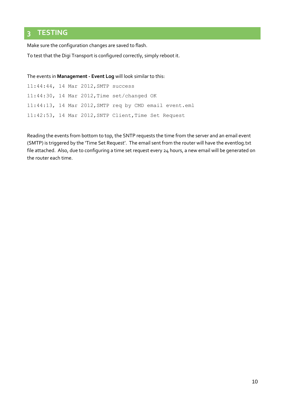## <span id="page-9-0"></span>**3 TESTING**

Make sure the configuration changes are saved to flash.

To test that the Digi Transport is configured correctly, simply reboot it.

The events in **Management - Event Log** will look similar to this:

11:44:44, 14 Mar 2012,SMTP success 11:44:30, 14 Mar 2012,Time set/changed OK 11:44:13, 14 Mar 2012,SMTP req by CMD email event.eml 11:42:53, 14 Mar 2012,SNTP Client,Time Set Request

Reading the events from bottom to top, the SNTP requests the time from the server and an email event (SMTP) is triggered by the 'Time Set Request'. The email sent from the router will have the eventlog.txt file attached. Also, due to configuring a time set request every 24 hours, a new email will be generated on the router each time.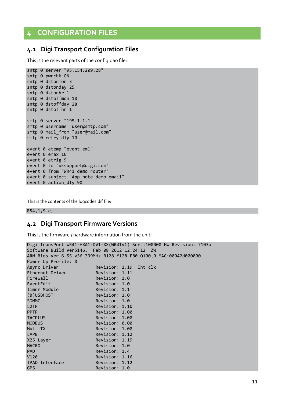## <span id="page-10-0"></span>**4 CONFIGURATION FILES**

#### <span id="page-10-1"></span>**4.1 Digi Transport Configuration Files**

This is the relevant parts of the config.dao file:

```
sntp 0 server "95.154.209.28"
sntp 0 pwrchk ON
sntp 0 dstonmon 3
sntp 0 dstonday 25
sntp 0 dstonhr 1
sntp 0 dstoffmon 10
sntp 0 dstoffday 28
sntp 0 dstoffhr 1
smtp 0 server "195.1.1.1"
smtp 0 username "user@smtp.com"
smtp 0 mail_from "user@mail.com"
smtp 0 retry_dly 10
event 0 etemp "event.eml"
event 0 emax 10
event 0 etrig 9
event 0 to "uksupport@digi.com"
event 0 from "WR41 demo router"
event 0 subject "App note demo email"
event 0 action_dly 90
```
This is the contents of the logcodes.dif file:

<span id="page-10-2"></span>R54,1,9 e,

#### **4.2 Digi Transport Firmware Versions**

This is the firmware \ hardware information from the unit:

```
Digi TransPort WR41-HXA1-DV1-XX(WR41v1) Ser#:100000 HW Revision: 7103a
Software Build Ver5146. Feb 08 2012 12:24:12 ZW
ARM Bios Ver 6.55 v36 399MHz B128-M128-F80-O100,0 MAC:00042d000000
Power Up Profile: 0
Async Driver Revision: 1.19 Int clk
Ethernet Driver Revision: 1.11
Firewall Revision: 1.0
EventEdit Revision: 1.0 
Timer Module Revision: 1.1
(B)USBHOST Revision: 1.0 
SDMMC Revision: 1.0<br>
L2TP Revision: 1.1
                    Revision: 1.10
PPTP Revision: 1.00<br>TACPLUS Revision: 1.00
                   Revision: 1.00
MODBUS Revision: 0.00 
MultiTX Revision: 1.00 
LAPB Revision: 1.12
X25 Layer Revision: 1.19
MACRO Revision: 1.0
PAD Revision: 1.4<br>V120 Revision: 1.1
                    Revision: 1.16
TPAD Interface Revision: 1.12 
GPS Revision: 1.0
```